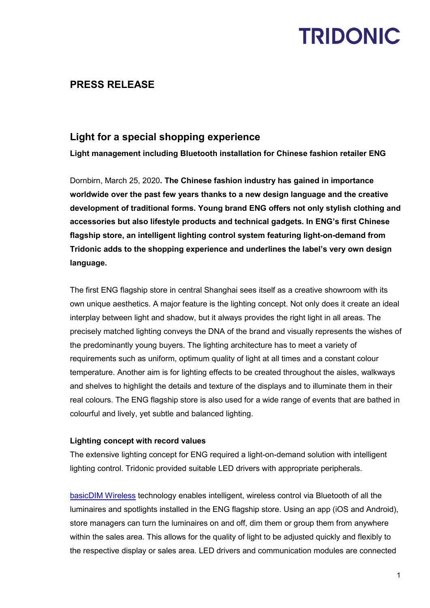## **TRIDONIC**

### **PRESS RELEASE**

### **Light for a special shopping experience**

**Light management including Bluetooth installation for Chinese fashion retailer ENG**

Dornbirn, March 25, 2020**. The Chinese fashion industry has gained in importance worldwide over the past few years thanks to a new design language and the creative development of traditional forms. Young brand ENG offers not only stylish clothing and accessories but also lifestyle products and technical gadgets. In ENG's first Chinese flagship store, an intelligent lighting control system featuring light-on-demand from Tridonic adds to the shopping experience and underlines the label's very own design language.**

The first ENG flagship store in central Shanghai sees itself as a creative showroom with its own unique aesthetics. A major feature is the lighting concept. Not only does it create an ideal interplay between light and shadow, but it always provides the right light in all areas. The precisely matched lighting conveys the DNA of the brand and visually represents the wishes of the predominantly young buyers. The lighting architecture has to meet a variety of requirements such as uniform, optimum quality of light at all times and a constant colour temperature. Another aim is for lighting effects to be created throughout the aisles, walkways and shelves to highlight the details and texture of the displays and to illuminate them in their real colours. The ENG flagship store is also used for a wide range of events that are bathed in colourful and lively, yet subtle and balanced lighting.

#### **Lighting concept with record values**

The extensive lighting concept for ENG required a light-on-demand solution with intelligent lighting control. Tridonic provided suitable LED drivers with appropriate peripherals.

[basicDIM Wireless](https://www.tridonic.com/com/de/products/basicdim-wireless.asp) technology enables intelligent, wireless control via Bluetooth of all the luminaires and spotlights installed in the ENG flagship store. Using an app (iOS and Android), store managers can turn the luminaires on and off, dim them or group them from anywhere within the sales area. This allows for the quality of light to be adjusted quickly and flexibly to the respective display or sales area. LED drivers and communication modules are connected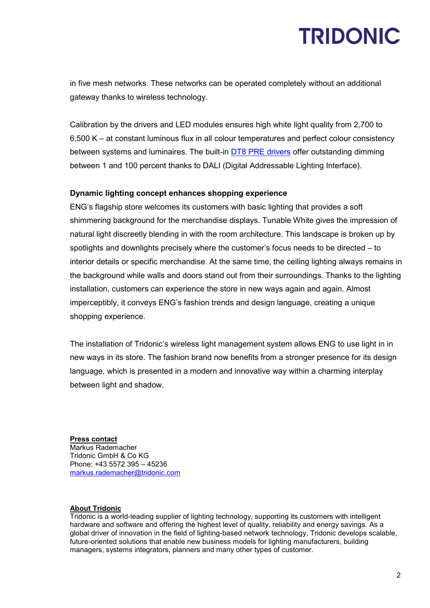## **TRIDONIC**

in five mesh networks. These networks can be operated completely without an additional gateway thanks to wireless technology.

Calibration by the drivers and LED modules ensures high white light quality from 2,700 to 6,500 K – at constant luminous flux in all colour temperatures and perfect colour consistency between systems and luminaires. The built-in [DT8 PRE drivers](https://www.tridonic.com/com/de/news-2018-treiber-dt8-tunable-white.asp) offer outstanding dimming between 1 and 100 percent thanks to DALI (Digital Addressable Lighting Interface).

#### **Dynamic lighting concept enhances shopping experience**

ENG's flagship store welcomes its customers with basic lighting that provides a soft shimmering background for the merchandise displays. Tunable White gives the impression of natural light discreetly blending in with the room architecture. This landscape is broken up by spotlights and downlights precisely where the customer's focus needs to be directed – to interior details or specific merchandise. At the same time, the ceiling lighting always remains in the background while walls and doors stand out from their surroundings. Thanks to the lighting installation, customers can experience the store in new ways again and again. Almost imperceptibly, it conveys ENG's fashion trends and design language, creating a unique shopping experience.

The installation of Tridonic's wireless light management system allows ENG to use light in in new ways in its store. The fashion brand now benefits from a stronger presence for its design language, which is presented in a modern and innovative way within a charming interplay between light and shadow.

**Press contact** Markus Rademacher Tridonic GmbH & Co KG Phone: +43 5572 395 – 45236 [markus.rademacher@tridonic.com](mailto:markus.rademacher@tridonic.com)

#### **About Tridonic**

Tridonic is a world-leading supplier of lighting technology, supporting its customers with intelligent hardware and software and offering the highest level of quality, reliability and energy savings. As a global driver of innovation in the field of lighting-based network technology, Tridonic develops scalable, future-oriented solutions that enable new business models for lighting manufacturers, building managers, systems integrators, planners and many other types of customer.